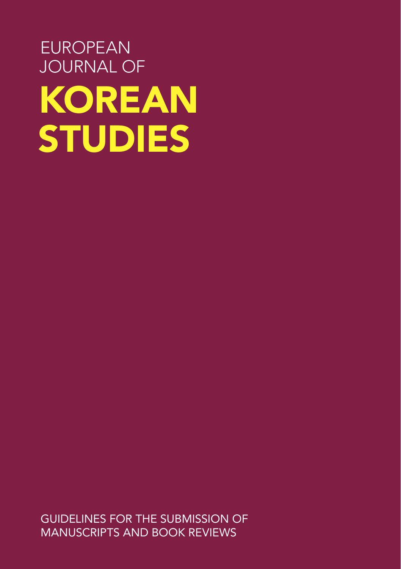# EUROPEAN JOURNAL OF KOREAN STUDIES

GUIDELINES FOR THE SUBMISSION OF MANUSCRIPTS AND BOOK REVIEWS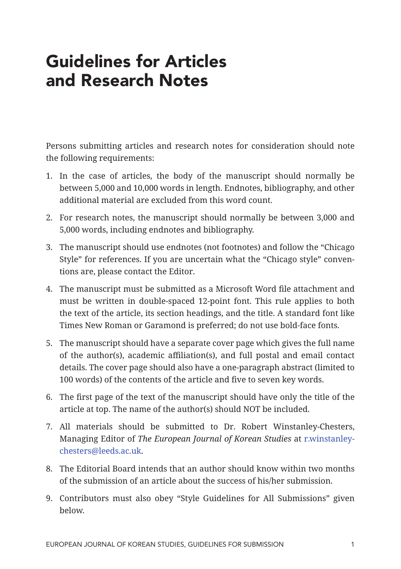### Guidelines for Articles and Research Notes

Persons submitting articles and research notes for consideration should note the following requirements:

- 1. In the case of articles, the body of the manuscript should normally be between 5,000 and 10,000 words in length. Endnotes, bibliography, and other additional material are excluded from this word count.
- 2. For research notes, the manuscript should normally be between 3,000 and 5,000 words, including endnotes and bibliography.
- 3. The manuscript should use endnotes (not footnotes) and follow the "Chicago Style" for references. If you are uncertain what the "Chicago style" conventions are, please contact the Editor.
- 4. The manuscript must be submitted as a Microsoft Word file attachment and must be written in double-spaced 12-point font. This rule applies to both the text of the article, its section headings, and the title. A standard font like Times New Roman or Garamond is preferred; do not use bold-face fonts.
- 5. The manuscript should have a separate cover page which gives the full name of the author(s), academic affiliation(s), and full postal and email contact details. The cover page should also have a one-paragraph abstract (limited to 100 words) of the contents of the article and five to seven key words.
- 6. The first page of the text of the manuscript should have only the title of the article at top. The name of the author(s) should NOT be included.
- 7. All materials should be submitted to Dr. Robert Winstanley-Chesters, Managing Editor of *The European Journal of Korean Studies* at r.winstanleychesters@leeds.ac.uk.
- 8. The Editorial Board intends that an author should know within two months of the submission of an article about the success of his/her submission.
- 9. Contributors must also obey "Style Guidelines for All Submissions" given below.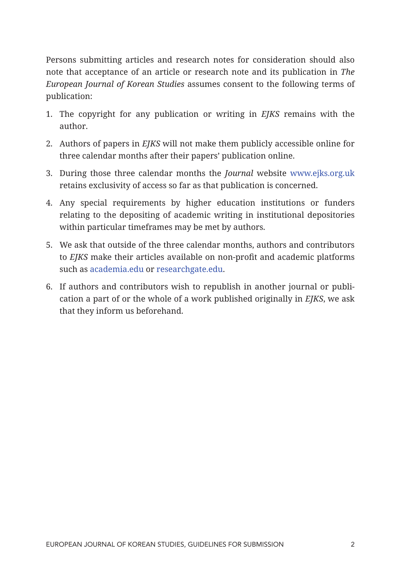Persons submitting articles and research notes for consideration should also note that acceptance of an article or research note and its publication in *The European Journal of Korean Studies* assumes consent to the following terms of publication:

- 1. The copyright for any publication or writing in *EJKS* remains with the author.
- 2. Authors of papers in *EJKS* will not make them publicly accessible online for three calendar months after their papers' publication online.
- 3. During those three calendar months the *Journal* website www.ejks.org.uk retains exclusivity of access so far as that publication is concerned.
- 4. Any special requirements by higher education institutions or funders relating to the depositing of academic writing in institutional depositories within particular timeframes may be met by authors.
- 5. We ask that outside of the three calendar months, authors and contributors to *EJKS* make their articles available on non-profit and academic platforms such as academia.edu or researchgate.edu.
- 6. If authors and contributors wish to republish in another journal or publication a part of or the whole of a work published originally in *EJKS*, we ask that they inform us beforehand.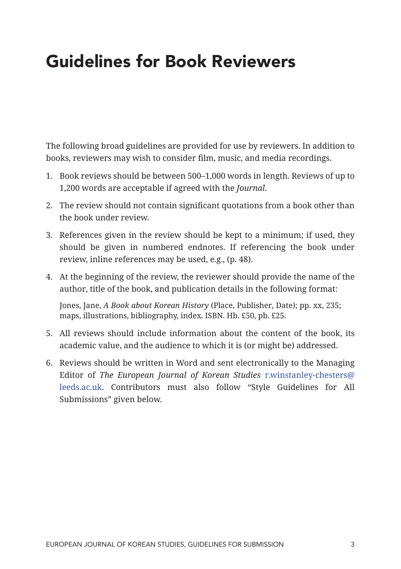### Guidelines for Book Reviewers

The following broad guidelines are provided for use by reviewers. In addition to books, reviewers may wish to consider film, music, and media recordings.

- 1. Book reviews should be between 500–1,000 words in length. Reviews of up to 1,200 words are acceptable if agreed with the *Journal*.
- 2. The review should not contain significant quotations from a book other than the book under review.
- 3. References given in the review should be kept to a minimum; if used, they should be given in numbered endnotes. If referencing the book under review, inline references may be used, e.g., (p. 48).
- 4. At the beginning of the review, the reviewer should provide the name of the author, title of the book, and publication details in the following format:

Jones, Jane, *A Book about Korean History* (Place, Publisher, Date); pp. xx, 235; maps, illustrations, bibliography, index. ISBN. Hb. £50, pb. £25.

- 5. All reviews should include information about the content of the book, its academic value, and the audience to which it is (or might be) addressed.
- 6. Reviews should be written in Word and sent electronically to the Managing Editor of *The European Journal of Korean Studies* r.winstanley-chesters@ leeds.ac.uk. Contributors must also follow "Style Guidelines for All Submissions" given below.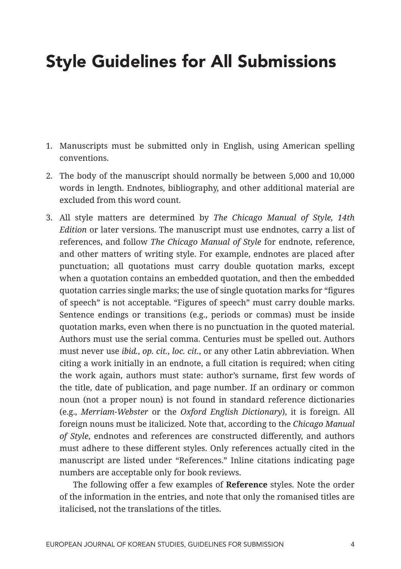### Style Guidelines for All Submissions

- 1. Manuscripts must be submitted only in English, using American spelling conventions.
- 2. The body of the manuscript should normally be between 5,000 and 10,000 words in length. Endnotes, bibliography, and other additional material are excluded from this word count.
- 3. All style matters are determined by *The Chicago Manual of Style, 14th Edition* or later versions. The manuscript must use endnotes, carry a list of references, and follow *The Chicago Manual of Style* for endnote, reference, and other matters of writing style. For example, endnotes are placed after punctuation; all quotations must carry double quotation marks, except when a quotation contains an embedded quotation, and then the embedded quotation carries single marks; the use of single quotation marks for "figures of speech" is not acceptable. "Figures of speech" must carry double marks. Sentence endings or transitions (e.g., periods or commas) must be inside quotation marks, even when there is no punctuation in the quoted material. Authors must use the serial comma. Centuries must be spelled out. Authors must never use *ibid.*, *op. cit.*, *loc. cit.*, or any other Latin abbreviation. When citing a work initially in an endnote, a full citation is required; when citing the work again, authors must state: author's surname, first few words of the title, date of publication, and page number. If an ordinary or common noun (not a proper noun) is not found in standard reference dictionaries (e.g., *Merriam-Webster* or the *Oxford English Dictionary*), it is foreign. All foreign nouns must be italicized. Note that, according to the *Chicago Manual of Style*, endnotes and references are constructed differently, and authors must adhere to these different styles. Only references actually cited in the manuscript are listed under "References." Inline citations indicating page numbers are acceptable only for book reviews.

The following offer a few examples of **Reference** styles. Note the order of the information in the entries, and note that only the romanised titles are italicised, not the translations of the titles.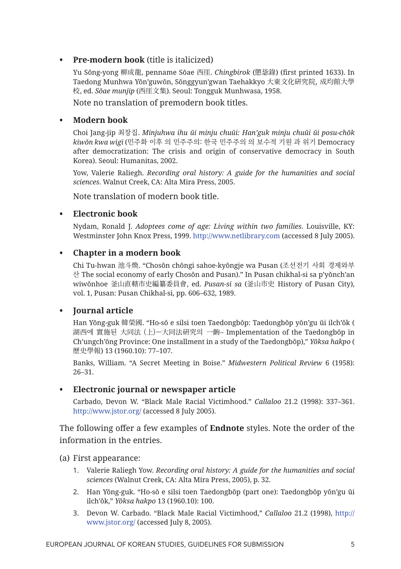#### **• Pre-modern book** (title is italicized)

Yu Sŏng-yong 柳成龍, penname Sŏae 西厓. *Chingbirok* (懲毖錄) (first printed 1633). In Taedong Munhwa Yŏn'guwŏn, Sŏnggyun'gwan Taehakkyo 大東文化硏究院, 成均館大學 校, ed. *Sŏae munjip* (西厓文集). Seoul: Tongguk Munhwasa, 1958. Note no translation of premodern book titles.

#### **• Modern book**

Choi Jang-jip 최장집. *Minjuhwa ihu ŭi minju chuŭi: Han'guk minju chuŭi ŭi posu-chŏk kiwŏn kwa wigi* (민주화 이후 의 민주주의: 한국 민주주의 의 보수적 기원 과 위기 Democracy after democratization: The crisis and origin of conservative democracy in South Korea). Seoul: Humanitas, 2002.

Yow, Valerie Raliegh. *Recording oral history: A guide for the humanities and social sciences*. Walnut Creek, CA: Alta Mira Press, 2005.

Note translation of modern book title.

#### **• Electronic book**

Nydam, Ronald J. *Adoptees come of age: Living within two families*. Louisville, KY: Westminster John Knox Press, 1999. http://www.netlibrary.com (accessed 8 July 2005).

#### **• Chapter in a modern book**

Chi Tu-hwan 池斗煥. "Chosŏn chŏngi sahoe-kyŏngje wa Pusan (조선전기 사회 경제와부 산 The social economy of early Chosŏn and Pusan)." In Pusan chikhal-si sa p'yŏnch'an wiwŏnhoe 釜山直轄市史編纂委員會, ed. *Pusan-si sa* (釜山市史 History of Pusan City), vol. 1, Pusan: Pusan Chikhal-si, pp. 606–632, 1989.

#### **• Journal article**

Han Yŏng-guk 韓榮國. "Ho-sŏ e silsi toen Taedongbŏp: Taedongbŏp yŏn'gu ŭi ilch'ŏk ( 湖西에 實施된 大同法 (上)—大同法硏究의 一齣– Implementation of the Taedongbŏp in Ch'ungch'ŏng Province: One installment in a study of the Taedongbŏp)," *Yŏksa hakpo* ( 歷史學報) 13 (1960.10): 77–107.

Banks, William. "A Secret Meeting in Boise." *Midwestern Political Review* 6 (1958): 26–31.

#### **• Electronic journal or newspaper article**

Carbado, Devon W. "Black Male Racial Victimhood." *Callaloo* 21.2 (1998): 337–361. http://www.jstor.org/ (accessed 8 July 2005).

The following offer a few examples of **Endnote** styles. Note the order of the information in the entries.

(a) First appearance:

- 1. Valerie Raliegh Yow. *Recording oral history: A guide for the humanities and social sciences* (Walnut Creek, CA: Alta Mira Press, 2005), p. 32.
- 2. Han Yŏng-guk. "Ho-sŏ e silsi toen Taedongbŏp (part one): Taedongbŏp yŏn'gu ŭi ilch'ŏk," *Yŏksa hakpo* 13 (1960.10): 100.
- 3. Devon W. Carbado. "Black Male Racial Victimhood," *Callaloo* 21.2 (1998), http:// www.jstor.org/ (accessed July 8, 2005).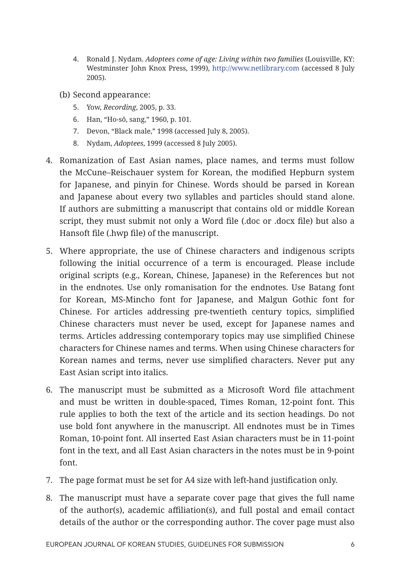- 4. Ronald J. Nydam. *Adoptees come of age: Living within two families* (Louisville, KY: Westminster John Knox Press, 1999), http://www.netlibrary.com (accessed 8 July 2005).
- (b) Second appearance:
	- 5. Yow, *Recording*, 2005, p. 33.
	- 6. Han, "Ho-sŏ, sang," 1960, p. 101.
	- 7. Devon, "Black male," 1998 (accessed July 8, 2005).
	- 8. Nydam, *Adoptees*, 1999 (accessed 8 July 2005).
- 4. Romanization of East Asian names, place names, and terms must follow the McCune–Reischauer system for Korean, the modified Hepburn system for Japanese, and pinyin for Chinese. Words should be parsed in Korean and Japanese about every two syllables and particles should stand alone. If authors are submitting a manuscript that contains old or middle Korean script, they must submit not only a Word file (.doc or .docx file) but also a Hansoft file (.hwp file) of the manuscript.
- 5. Where appropriate, the use of Chinese characters and indigenous scripts following the initial occurrence of a term is encouraged. Please include original scripts (e.g., Korean, Chinese, Japanese) in the References but not in the endnotes. Use only romanisation for the endnotes. Use Batang font for Korean, MS-Mincho font for Japanese, and Malgun Gothic font for Chinese. For articles addressing pre-twentieth century topics, simplified Chinese characters must never be used, except for Japanese names and terms. Articles addressing contemporary topics may use simplified Chinese characters for Chinese names and terms. When using Chinese characters for Korean names and terms, never use simplified characters. Never put any East Asian script into italics.
- 6. The manuscript must be submitted as a Microsoft Word file attachment and must be written in double-spaced, Times Roman, 12-point font. This rule applies to both the text of the article and its section headings. Do not use bold font anywhere in the manuscript. All endnotes must be in Times Roman, 10-point font. All inserted East Asian characters must be in 11-point font in the text, and all East Asian characters in the notes must be in 9-point font.
- 7. The page format must be set for A4 size with left-hand justification only.
- 8. The manuscript must have a separate cover page that gives the full name of the author(s), academic affiliation(s), and full postal and email contact details of the author or the corresponding author. The cover page must also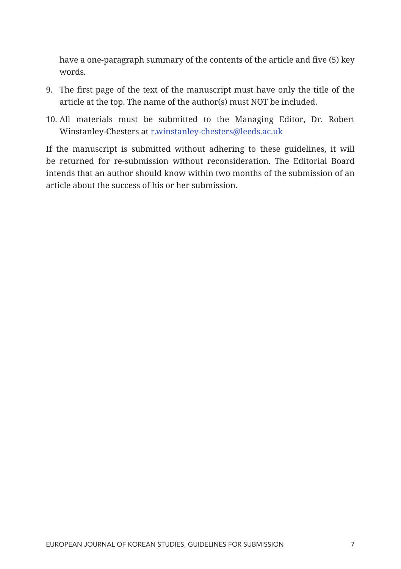have a one-paragraph summary of the contents of the article and five (5) key words.

- 9. The first page of the text of the manuscript must have only the title of the article at the top. The name of the author(s) must NOT be included.
- 10. All materials must be submitted to the Managing Editor, Dr. Robert Winstanley-Chesters at r.winstanley-chesters@leeds.ac.uk

If the manuscript is submitted without adhering to these guidelines, it will be returned for re-submission without reconsideration. The Editorial Board intends that an author should know within two months of the submission of an article about the success of his or her submission.